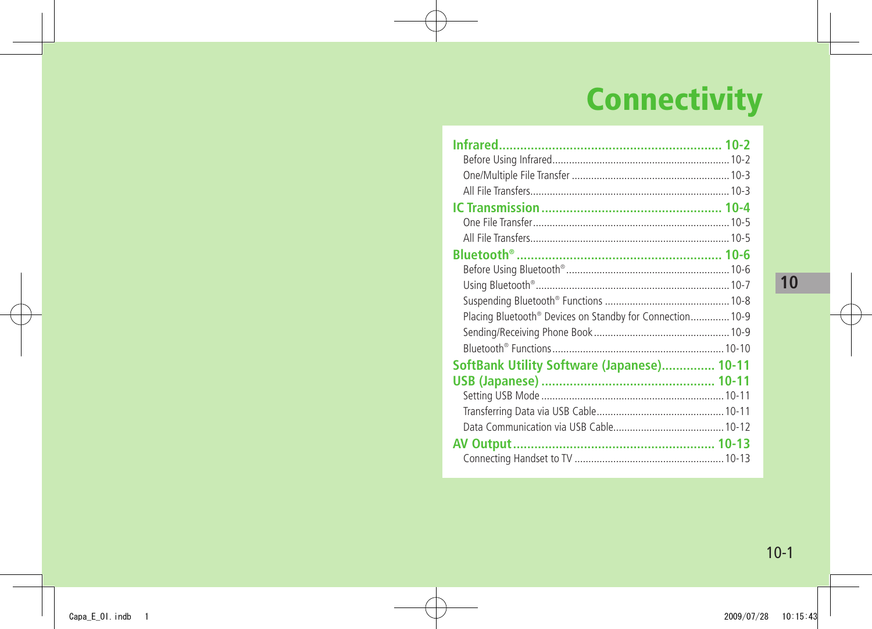# **Connectivity**

| Placing Bluetooth <sup>®</sup> Devices on Standby for Connection 10-9 |  |
|-----------------------------------------------------------------------|--|
|                                                                       |  |
|                                                                       |  |
| SoftBank Utility Software (Japanese) 10-11                            |  |
|                                                                       |  |
|                                                                       |  |
|                                                                       |  |
|                                                                       |  |
|                                                                       |  |
|                                                                       |  |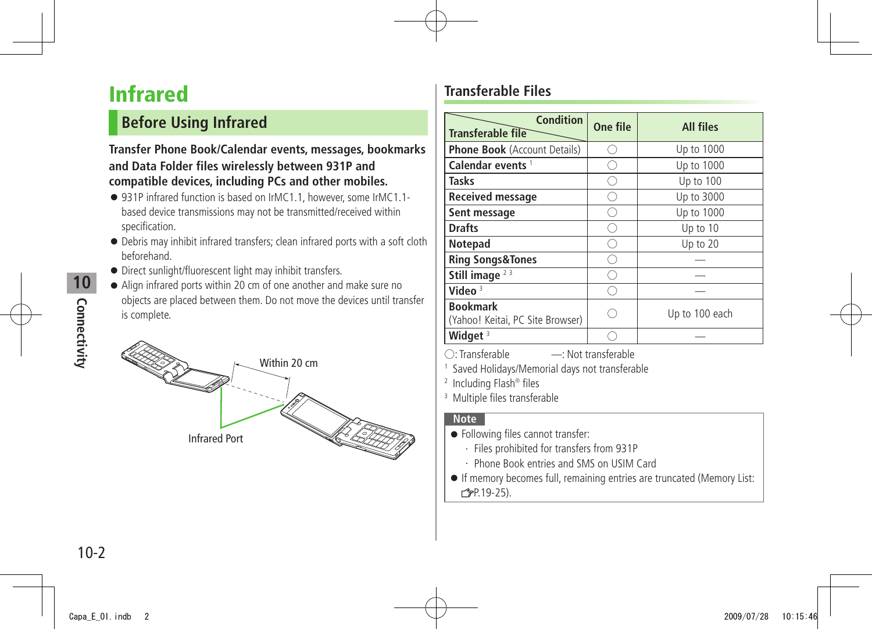# <span id="page-1-0"></span>**Infrared**

### **Before Using Infrared**

#### **Transfer Phone Book/Calendar events, messages, bookmarks and Data Folder files wirelessly between 931P and compatible devices, including PCs and other mobiles.**

- 931P infrared function is based on IrMC1.1, however, some IrMC1.1based device transmissions may not be transmitted/received within specification.
- Debris may inhibit infrared transfers; clean infrared ports with a soft cloth beforehand.
- Direct sunlight/fluorescent light may inhibit transfers.
- Align infrared ports within 20 cm of one another and make sure no objects are placed between them. Do not move the devices until transfer is complete.



#### **Transferable Files**

| <b>Condition</b><br>Transferable file               | One file | <b>All files</b> |
|-----------------------------------------------------|----------|------------------|
| <b>Phone Book</b> (Account Details)                 |          | Up to 1000       |
| Calendar events <sup>1</sup>                        |          | Up to 1000       |
| Tasks                                               |          | Up to 100        |
| <b>Received message</b>                             |          | Up to 3000       |
| Sent message                                        |          | Up to 1000       |
| <b>Drafts</b>                                       |          | Up to 10         |
| Notepad                                             |          | Up to 20         |
| <b>Ring Songs&amp;Tones</b>                         |          |                  |
| Still image $23$                                    |          |                  |
| Video $3$                                           |          |                  |
| <b>Bookmark</b><br>(Yahoo! Keitai, PC Site Browser) |          | Up to 100 each   |
| Widget $3$                                          |          |                  |

○: Transferable ̶: Not transferable

1 Saved Holidays/Memorial days not transferable

2 Including Flash® files

3 Multiple files transferable

#### **Note**

- Following files cannot transfer:
	- ・ Files prohibited for transfers from 931P
	- ・ Phone Book entries and SMS on USIM Card
- If memory becomes full, remaining entries are truncated (Memory List: P.19-25).

**10**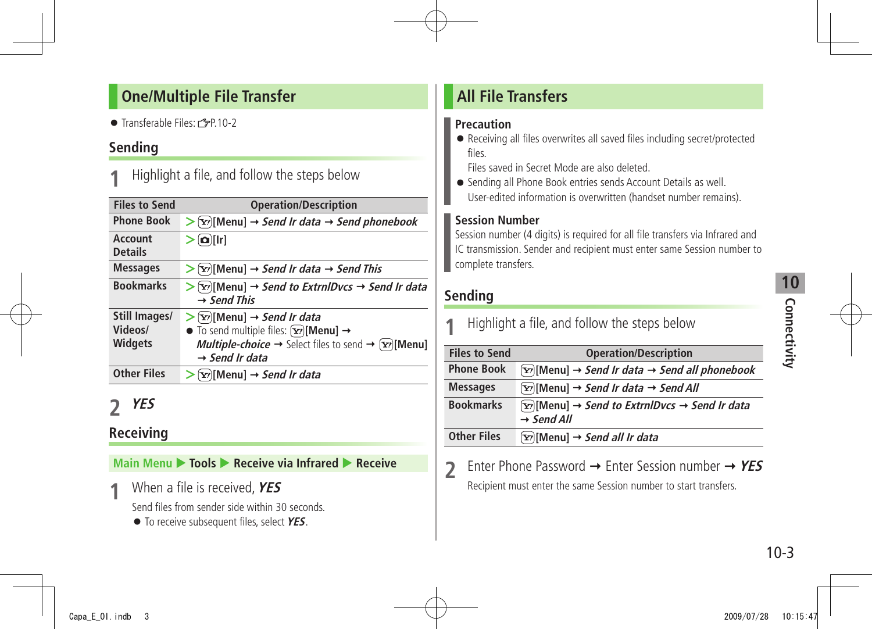#### <span id="page-2-0"></span>**One/Multiple File Transfer**

 $\bullet$  Transferable Files:  $r^2P$  10-2

#### **Sending**

**1** Highlight a file, and follow the steps below

| <b>Files to Send</b>                       | <b>Operation/Description</b>                                                                                                                                                                                                                                                            |
|--------------------------------------------|-----------------------------------------------------------------------------------------------------------------------------------------------------------------------------------------------------------------------------------------------------------------------------------------|
| <b>Phone Book</b>                          | $\triangleright$ [Y'] [Menu] $\rightarrow$ Send Ir data $\rightarrow$ Send phonebook                                                                                                                                                                                                    |
| Account<br><b>Details</b>                  | $\left[ \mathbf{a} \right]$ [Ir]                                                                                                                                                                                                                                                        |
| <b>Messages</b>                            | $\triangleright$ [Y'][Menu] $\rightarrow$ Send Ir data $\rightarrow$ Send This                                                                                                                                                                                                          |
| <b>Bookmarks</b>                           | $\triangleright$ [x <sup>2</sup> ][Menu] $\rightarrow$ Send to ExtrnlDvcs $\rightarrow$ Send Ir data<br>$\rightarrow$ Send This                                                                                                                                                         |
| Still Images/<br>Videos/<br><b>Widgets</b> | $\triangleright$ [ $\triangleright$ [Menu] $\rightarrow$ Send Ir data<br>$\bullet$ To send multiple files: $\boxed{\mathbf{Y}}$ [Menu] $\rightarrow$<br><b>Multiple-choice</b> $\rightarrow$ Select files to send $\rightarrow \boxed{\mathbf{x}}$ [Menu]<br>$\rightarrow$ Send Ir data |
| <b>Other Files</b>                         | $[x2][Menu] \rightarrow Send \, Ir \, data$                                                                                                                                                                                                                                             |

### **2 YES**

#### **Receiving**

**Main Menu ▶ Tools ▶ Receive via Infrared ▶ Receive** 

**1** When a file is received, **YES**

Send files from sender side within 30 seconds.

● To receive subsequent files, select **YES**.

#### **All File Transfers**

#### **Precaution**

● Receiving all files overwrites all saved files including secret/protected files.

Files saved in Secret Mode are also deleted.

● Sending all Phone Book entries sends Account Details as well. User-edited information is overwritten (handset number remains).

#### **Session Number**

Session number (4 digits) is required for all file transfers via Infrared and IC transmission. Sender and recipient must enter same Session number to complete transfers.

#### **Sending**

- **1** Highlight a file, and follow the steps below **Files to Send Operation/Description Phone Book**  $\boxed{\mathbf{x}}$  [Menu]  $\rightarrow$  *Send Ir data*  $\rightarrow$  *Send all phonebook* **Messages** *<u></u>***<sup>***★</sup></sup>Menu → <i>Send Ir data* → *Send All*</sup> **Bookmarks EX** [Menu] → Send to ExtrnlDvcs → Send Ir data **Send All** Other Files  $\boxed{\mathbf{x}}$  [Menul  $\rightarrow$  *Send all Ir data*
- **2** Enter Phone Password → Enter Session number → YES Recipient must enter the same Session number to start transfers.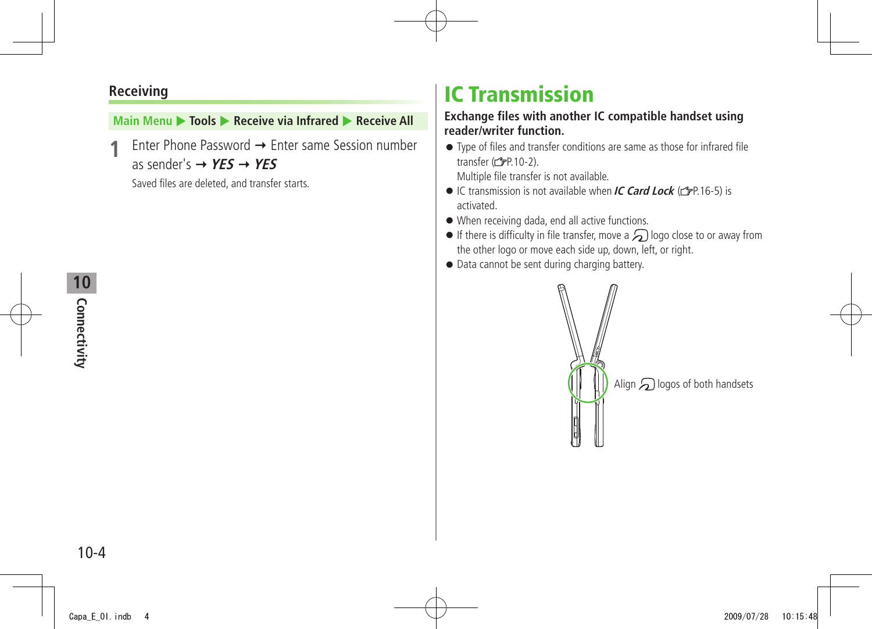#### <span id="page-3-0"></span>**Receiving**

#### **Main Menu ▶ Tools ▶ Receive via Infrared ▶ Receive All**

Enter Phone Password → Enter same Session number as sender's  $\rightarrow$  **YES**  $\rightarrow$  **YES** 

Saved files are deleted, and transfer starts.

# **IC Transmission**

#### **Exchange files with another IC compatible handset using reader/writer function.**

● Type of files and transfer conditions are same as those for infrared file transfer  $(\mathcal{I}$ P.10-2).

Multiple file transfer is not available.

- IC transmission is not available when **IC Card Lock** (C<sub>J</sub>P 16-5) is activated.
- When receiving dada, end all active functions.
- $\bullet$  If there is difficulty in file transfer, move a  $\bigcirc$  logo close to or away from the other logo or move each side up, down, left, or right.
- Data cannot be sent during charging battery.

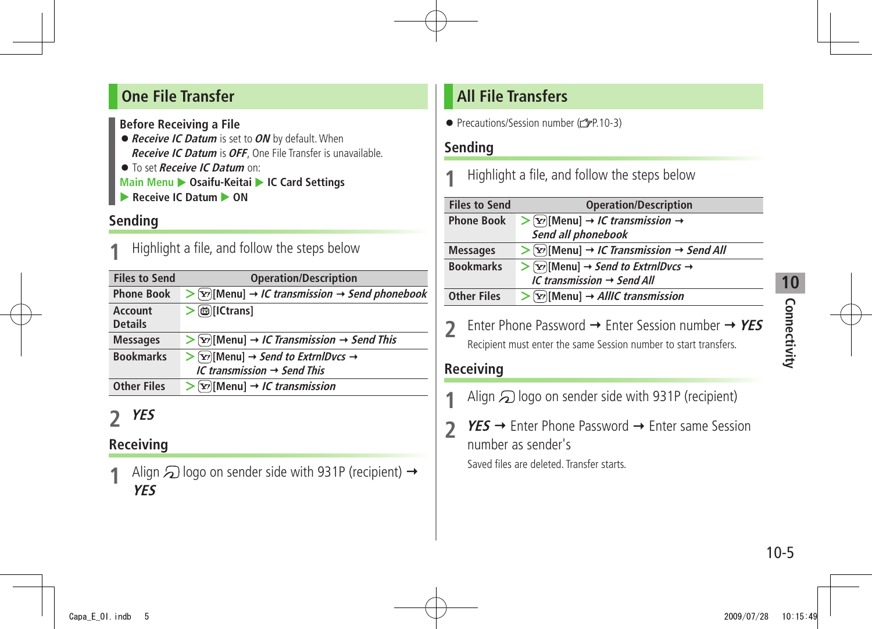#### <span id="page-4-0"></span>**One File Transfer**

**Before Receiving a File**

- ●**Receive IC Datum** is set to **ON** by default. When **Receive IC Datum** is **OFF**, One File Transfer is unavailable. ● To set **Receive IC Datum** on:
- **Main Menu > Osaifu-Keitai > IC Card Settings**
- **Receive IC Datum**  $\triangleright$  **ON**

#### **Sending**

**1** Highlight a file, and follow the steps below

| <b>Files to Send</b>      | <b>Operation/Description</b>                                                                                                                 |
|---------------------------|----------------------------------------------------------------------------------------------------------------------------------------------|
| <b>Phone Book</b>         | $\triangleright$ [Y][Menu] $\rightarrow$ IC transmission $\rightarrow$ Send phonebook                                                        |
| Account<br><b>Details</b> | <b>茴</b> [ICtrans]                                                                                                                           |
| <b>Messages</b>           | $\triangleright$ [x <sup>2</sup> ][Menu] $\rightarrow$ <i>IC Transmission <math>\rightarrow</math> Send This</i>                             |
| <b>Bookmarks</b>          | $\triangleright$ [ $\triangleright$ ][Menu] $\rightarrow$ <i>Send to ExtrnlDvcs</i> $\rightarrow$<br>IC transmission $\rightarrow$ Send This |
| <b>Other Files</b>        | $\triangleright$ [ $\triangleright$ [Menu] $\rightarrow$ <i>IC transmission</i>                                                              |

### **2 YES**

#### **Receiving**

Align  $\mathfrak D$  logo on sender side with 931P (recipient)  $\rightarrow$ **YES**

### **All File Transfers**

● Precautions/Session number (19P.10-3)

#### **Sending**

**1** Highlight a file, and follow the steps below

| <b>Files to Send</b> | <b>Operation/Description</b>                                                      |
|----------------------|-----------------------------------------------------------------------------------|
| <b>Phone Book</b>    | $\triangleright$ [Y'][Menu] $\rightarrow$ <i>IC transmission</i> $\rightarrow$    |
|                      | Send all phonebook                                                                |
| <b>Messages</b>      | $\triangleright$ [Yol] Menu] $\rightarrow$ IC Transmission $\rightarrow$ Send All |
| <b>Bookmarks</b>     | $\triangleright$ [Y][Menu] $\rightarrow$ Send to ExtrnlDvcs $\rightarrow$         |
|                      | IC transmission $\rightarrow$ Send All                                            |
| <b>Other Files</b>   | $\triangleright$ [ $\triangleright$ [Menu] $\rightarrow$ AllIC transmission       |
|                      |                                                                                   |

**2** Enter Phone Password → Enter Session number → YES Recipient must enter the same Session number to start transfers.

#### **Receiving**

- Align  $\odot$  logo on sender side with 931P (recipient)
- **2 YES** → Enter Phone Password → Enter same Session number as sender's Saved files are deleted. Transfer starts.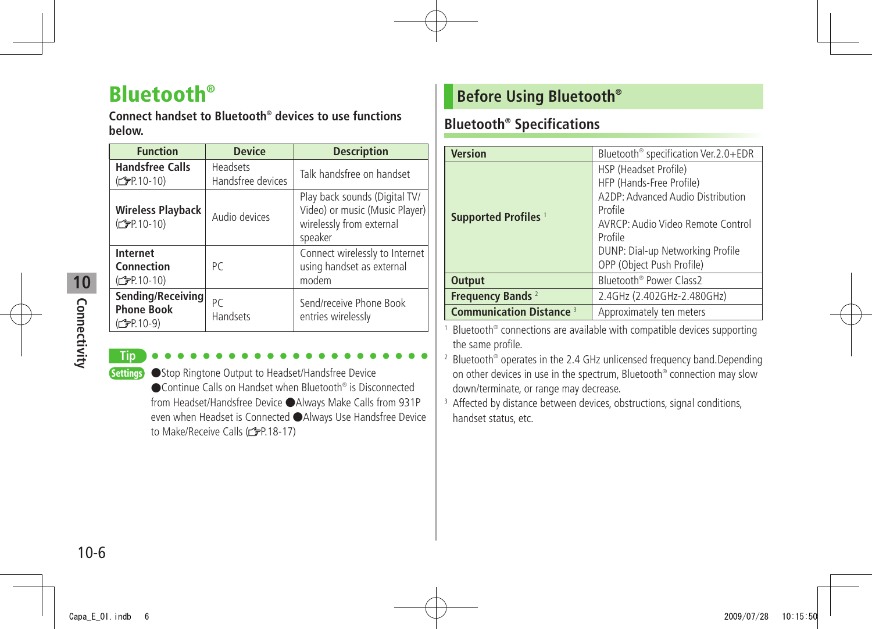# <span id="page-5-0"></span>**Bluetooth®**

**Connect handset to Bluetooth® devices to use functions below.**

| <b>Function</b>                                                    | <b>Device</b>                        | <b>Description</b>                                                                                     |
|--------------------------------------------------------------------|--------------------------------------|--------------------------------------------------------------------------------------------------------|
| <b>Handsfree Calls</b><br>$(\mathcal{F}P.10-10)$                   | <b>Headsets</b><br>Handsfree devices | Talk handsfree on handset                                                                              |
| <b>Wireless Playback</b><br>(C=P.10-10)                            | Audio devices                        | Play back sounds (Digital TV/<br>Video) or music (Music Player)<br>wirelessly from external<br>speaker |
| <b>Internet</b><br>Connection<br>(C <sub>F</sub> P.10-10)          | PC                                   | Connect wirelessly to Internet<br>using handset as external<br>modem                                   |
| Sending/Receiving<br><b>Phone Book</b><br>(C <sub>FP</sub> P.10-9) | РC<br><b>Handsets</b>                | Send/receive Phone Book<br>entries wirelessly                                                          |

# Connectivity **Connectivity**

**10**

#### **Tip**

Settings ●Stop Ringtone Output to Headset/Handsfree Device ● Continue Calls on Handset when Bluetooth<sup>®</sup> is Disconnected from Headset/Handsfree Device ●Always Make Calls from 931P even when Headset is Connected ●Always Use Handsfree Device to Make/Receive Calls (rep. 18-17)

#### **Before Using Bluetooth®**

#### **Bluetooth® Specifications**

| <b>Version</b>                  | Bluetooth <sup>®</sup> specification Ver.2.0+EDR                                                                                                                                                                   |  |
|---------------------------------|--------------------------------------------------------------------------------------------------------------------------------------------------------------------------------------------------------------------|--|
| Supported Profiles <sup>1</sup> | HSP (Headset Profile)<br>HFP (Hands-Free Profile)<br>A2DP: Advanced Audio Distribution<br>Profile<br>AVRCP: Audio Video Remote Control<br>Profile<br>DUNP: Dial-up Networking Profile<br>OPP (Object Push Profile) |  |
| <b>Output</b>                   | Bluetooth <sup>®</sup> Power Class2                                                                                                                                                                                |  |
| Frequency Bands <sup>2</sup>    | 2.4GHz (2.402GHz-2.480GHz)                                                                                                                                                                                         |  |
| <b>Communication Distance 3</b> | Approximately ten meters                                                                                                                                                                                           |  |

1 Bluetooth® connections are available with compatible devices supporting the same profile.

2 Bluetooth® operates in the 2.4 GHz unlicensed frequency band.Depending on other devices in use in the spectrum, Bluetooth® connection may slow down/terminate, or range may decrease.

<sup>3</sup> Affected by distance between devices, obstructions, signal conditions, handset status, etc.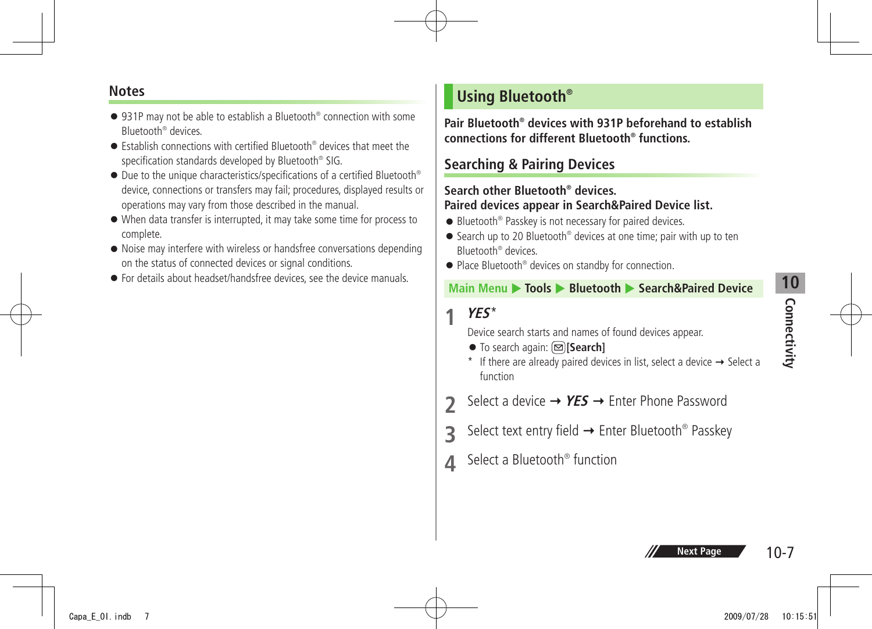# **10** Connectivity **Connectivity**

#### <span id="page-6-0"></span>**Notes**

- 931P may not be able to establish a Bluetooth<sup>®</sup> connection with some Bluetooth® devices.
- Establish connections with certified Bluetooth<sup>®</sup> devices that meet the specification standards developed by Bluetooth® SIG.
- Due to the unique characteristics/specifications of a certified Bluetooth<sup>®</sup> device, connections or transfers may fail; procedures, displayed results or operations may vary from those described in the manual.
- When data transfer is interrupted, it may take some time for process to complete.
- Noise may interfere with wireless or handsfree conversations depending on the status of connected devices or signal conditions.
- For details about headset/handsfree devices, see the device manuals.

#### **Using Bluetooth®**

**Pair Bluetooth® devices with 931P beforehand to establish connections for different Bluetooth® functions.**

#### **Searching & Pairing Devices**

#### **Search other Bluetooth® devices. Paired devices appear in Search&Paired Device list.**

- Bluetooth<sup>®</sup> Passkey is not necessary for paired devices.
- Search up to 20 Bluetooth<sup>®</sup> devices at one time; pair with up to ten Bluetooth® devices.
- Place Bluetooth<sup>®</sup> devices on standby for connection.

#### **Main Menu ▶ Tools ▶ Bluetooth ▶ Search&Paired Device**

**1 YES**\*

Device search starts and names of found devices appear.

- To search again: **[Search]**
- \* If there are already paired devices in list, select a device  $\rightarrow$  Select a function
- **2** Select a device → **YES** → Enter Phone Password
- **3** Select text entry field → Enter Bluetooth® Passkey
- **4** Select a Bluetooth® function

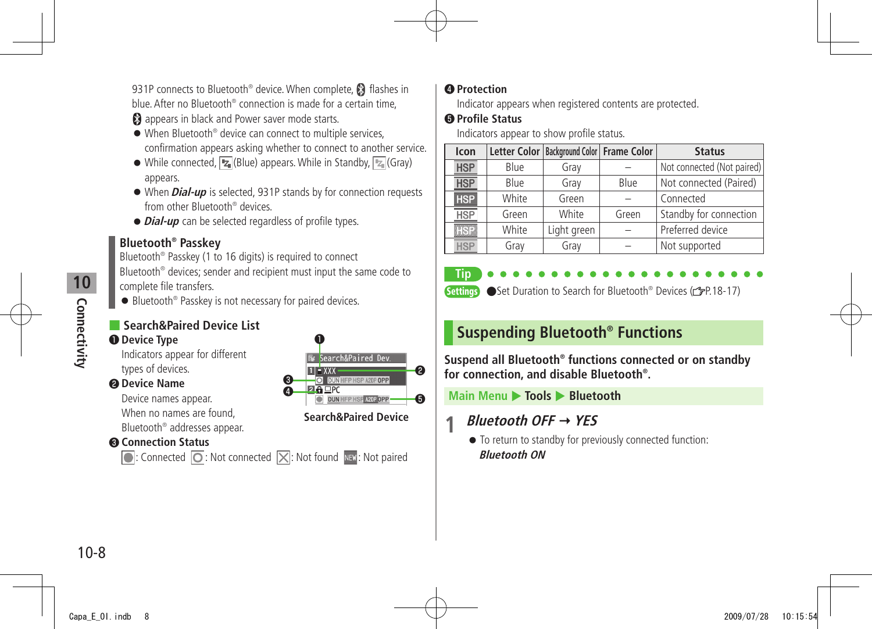<span id="page-7-0"></span>931P connects to Bluetooth® device. When complete, <sup>8</sup> flashes in blue. After no Bluetooth® connection is made for a certain time,

**8** appears in black and Power saver mode starts.

- When Bluetooth<sup>®</sup> device can connect to multiple services, confirmation appears asking whether to connect to another service.
- $\bullet$  While connected,  $\boxed{Z_{\parallel}}$  (Blue) appears. While in Standby,  $\boxed{Z_{\parallel}}$  (Gray) appears.
- When **Dial-up** is selected, 931P stands by for connection requests from other Bluetooth® devices.
- ●**Dial-up** can be selected regardless of profile types.

#### **Bluetooth® Passkey**

Bluetooth® Passkey (1 to 16 digits) is required to connect Bluetooth® devices; sender and recipient must input the same code to complete file transfers.

● Bluetooth<sup>®</sup> Passkey is not necessary for paired devices.

#### ■ **Search&Paired Device List**

#### ❶ **Device Type**

Indicators appear for different types of devices.

#### ❷ **Device Name**

Device names appear. When no names are found, Bluetooth® addresses appear.

#### ❸ **Connection Status**

 $\bigcirc$ : Connected  $\bigcirc$ : Not connected  $\bigtimes$ : Not found  $\bigcirc$ : Not paired



#### ❹ **Protection**

Indicator appears when registered contents are protected.

#### ❺ **Profile Status**

Indicators appear to show profile status.

| Icon       |       | Letter Color   Background Color   Frame Color |       | <b>Status</b>              |
|------------|-------|-----------------------------------------------|-------|----------------------------|
| <b>HSP</b> | Blue  | Gray                                          |       | Not connected (Not paired) |
| <b>HSP</b> | Blue  | Gray                                          | Blue  | Not connected (Paired)     |
| <b>HSP</b> | White | Green                                         |       | Connected                  |
| <b>HSP</b> | Green | White                                         | Green | Standby for connection     |
| <b>HSP</b> | White | Light green                                   |       | Preferred device           |
| <b>HSP</b> | Gray  | Gray                                          |       | Not supported              |



Settings ● Set Duration to Search for Bluetooth® Devices (<del>『ア</del>P.18-17)

### **Suspending Bluetooth® Functions**

**Suspend all Bluetooth® functions connected or on standby for connection, and disable Bluetooth® .**

**Main Menu** X **Tools** X **Bluetooth**

#### **1 Bluetooth OFF YES**

● To return to standby for previously connected function: **Bluetooth ON**

**10** Connectivity **Connectivity**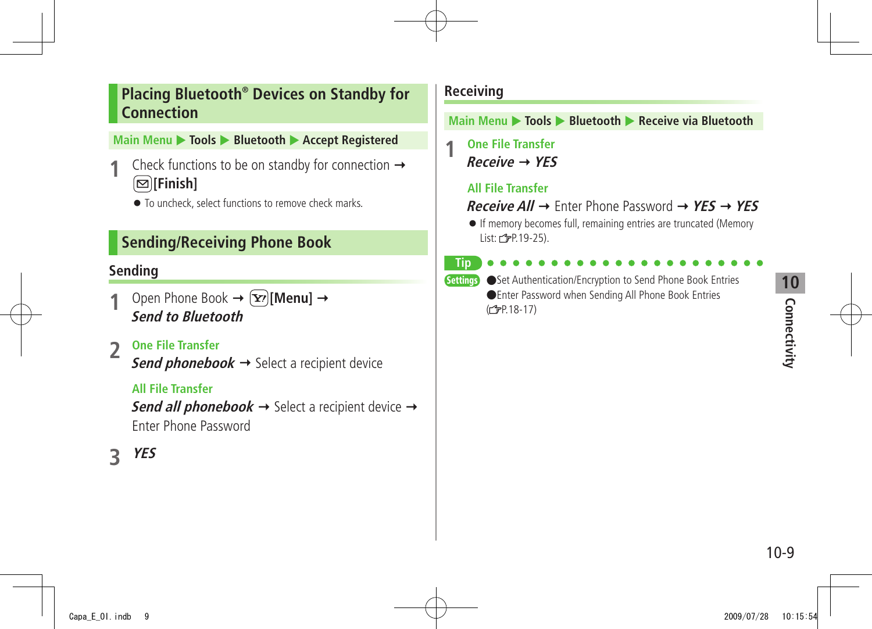#### <span id="page-8-0"></span>**Placing Bluetooth® Devices on Standby for Connection**

#### **Main Menu ▶ Tools ▶ Bluetooth ▶ Accept Registered**

- Check functions to be on standby for connection  $\rightarrow$ **[Finish]**
	- To uncheck, select functions to remove check marks.

#### **Sending/Receiving Phone Book**

#### **Sending**

- Open Phone Book  $\rightarrow \infty$ **[Menu]**  $\rightarrow$ **Send to Bluetooth**
- **2 One File Transfer**

**Send phonebook**  $\rightarrow$  Select a recipient device

#### **All File Transfer**

**Send all phonebook**  $\rightarrow$  Select a recipient device  $\rightarrow$ Enter Phone Password

**3 YES**

#### **Receiving**

**Main Menu** X **Tools** X **Bluetooth** X **Receive via Bluetooth**

**1 One File Transfer Receive YES**

#### **All File Transfer**

**Receive All**  $\rightarrow$  Enter Phone Password  $\rightarrow$  **YES**  $\rightarrow$  **YES** 

● If memory becomes full, remaining entries are truncated (Memory List: **3**P.19-25).

**Tip**

Settings ●Set Authentication/Encryption to Send Phone Book Entries ●Enter Password when Sending All Phone Book Entries (<del>f</del>P.18-17)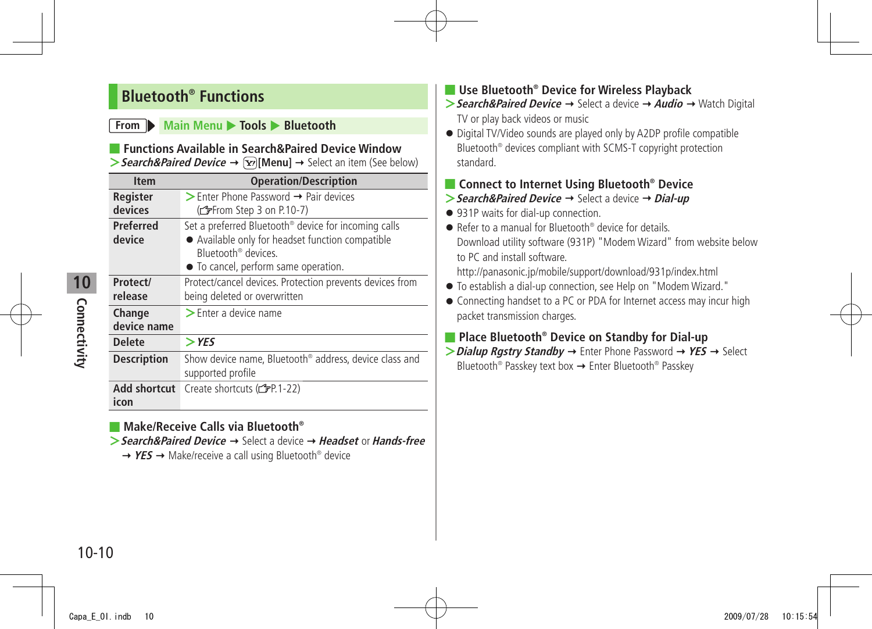#### <span id="page-9-0"></span>**Bluetooth® Functions**

#### **From Main Menu X** Tools **> Bluetooth**

#### ■ **Functions Available in Search&Paired Device Window**

 $\triangleright$  **Search&Paired Device**  $\rightarrow \widehat{X}$  [Menu]  $\rightarrow$  Select an item (See below)

| <b>Item</b>                 | <b>Operation/Description</b>                                                                                                                                                                   |
|-----------------------------|------------------------------------------------------------------------------------------------------------------------------------------------------------------------------------------------|
| Register<br>devices         | $\triangleright$ Enter Phone Password $\rightarrow$ Pair devices<br>(fep 3 on P.10-7)                                                                                                          |
| Preferred<br>device         | Set a preferred Bluetooth <sup>®</sup> device for incoming calls<br>• Available only for headset function compatible<br>Bluetooth <sup>®</sup> devices<br>• To cancel, perform same operation. |
| Protect/<br>release         | Protect/cancel devices. Protection prevents devices from<br>being deleted or overwritten                                                                                                       |
| Change<br>device name       | $\blacktriangleright$ Enter a device name                                                                                                                                                      |
| <b>Delete</b>               | $>$ YES                                                                                                                                                                                        |
| <b>Description</b>          | Show device name, Bluetooth <sup>®</sup> address, device class and<br>supported profile                                                                                                        |
| <b>Add shortcut</b><br>icon | Create shortcuts (reader 1-22)                                                                                                                                                                 |

#### ■ **Make/Receive Calls via Bluetooth®**

- **>Search&Paired Device** → Select a device → **Headset** or **Hands-free** 
	- → YES → Make/receive a call using Bluetooth<sup>®</sup> device

#### ■ Use Bluetooth<sup>®</sup> Device for Wireless Playback

- **>** Search&Paired Device → Select a device → Audio → Watch Digital TV or play back videos or music
- Digital TV/Video sounds are played only by A2DP profile compatible Bluetooth® devices compliant with SCMS-T copyright protection standard.

#### ■ **Connect to Internet Using Bluetooth® Device**

- **>** Search&Paired Device → Select a device → Dial-up
- 931P waits for dial-up connection.
- Refer to a manual for Bluetooth<sup>®</sup> device for details. Download utility software (931P) "Modem Wizard" from website below to PC and install software.

http://panasonic.jp/mobile/support/download/931p/index.html

- To establish a dial-up connection, see Help on "Modem Wizard."
- Connecting handset to a PC or PDA for Internet access may incur high packet transmission charges.

#### ■ **Place Bluetooth® Device on Standby for Dial-up**

 $\triangleright$  **Dialup Rgstry Standby**  $\rightarrow$  Enter Phone Password  $\rightarrow$  **YES**  $\rightarrow$  Select Bluetooth® Passkey text box Enter Bluetooth® Passkey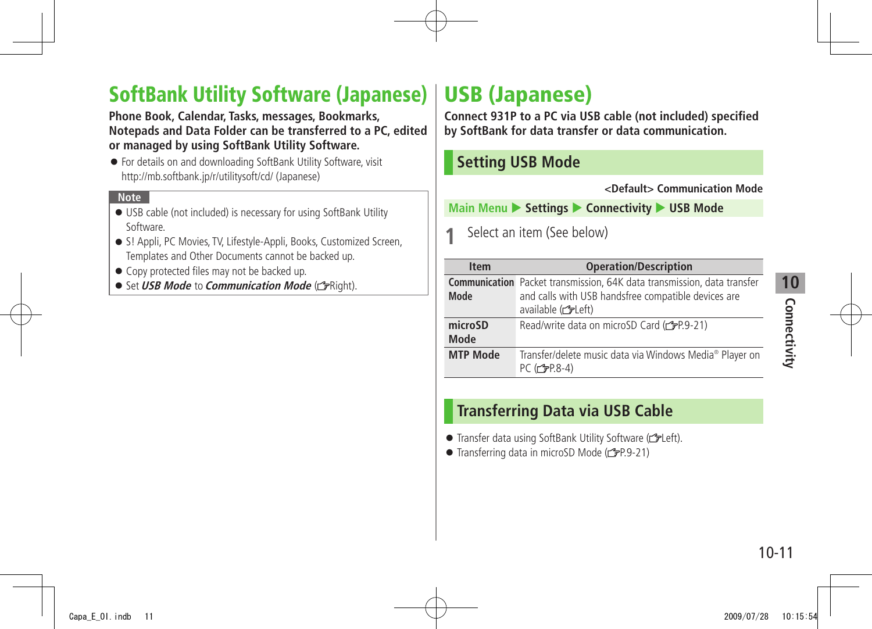# **10** Connectivity **Connectivity**

# <span id="page-10-0"></span>**SoftBank Utility Software (Japanese) USB (Japanese)**

**Phone Book, Calendar, Tasks, messages, Bookmarks, Notepads and Data Folder can be transferred to a PC, edited or managed by using SoftBank Utility Software.**

● For details on and downloading SoftBank Utility Software, visit http://mb.softbank.jp/r/utilitysoft/cd/ (Japanese)

#### **Note**

- USB cable (not included) is necessary for using SoftBank Utility Software.
- S! Appli, PC Movies, TV, Lifestyle-Appli, Books, Customized Screen, Templates and Other Documents cannot be backed up.
- Copy protected files may not be backed up.
- Set *USB Mode* to *Communication Mode* (r<sup>}</sup>Right).

**Connect 931P to a PC via USB cable (not included) specified by SoftBank for data transfer or data communication.**

#### **Setting USB Mode**

**<Default> Communication Mode**

**Main Menu > Settings > Connectivity > USB Mode** 

**1** Select an item (See below)

| <b>Item</b>            | <b>Operation/Description</b>                                                                                                                              |
|------------------------|-----------------------------------------------------------------------------------------------------------------------------------------------------------|
| Mode                   | <b>Communication</b> Packet transmission, 64K data transmission, data transfer<br>and calls with USB handsfree compatible devices are<br>available (reft) |
| microSD<br><b>Mode</b> | Read/write data on microSD Card (r P.9-21)                                                                                                                |
| <b>MTP Mode</b>        | Transfer/delete music data via Windows Media® Player on<br>PC (仁子P.8-4)                                                                                   |

#### **Transferring Data via USB Cable**

- Transfer data using SoftBank Utility Software (calleft).
- $\bullet$  Transferring data in microSD Mode ( $\rightarrow$ P.9-21)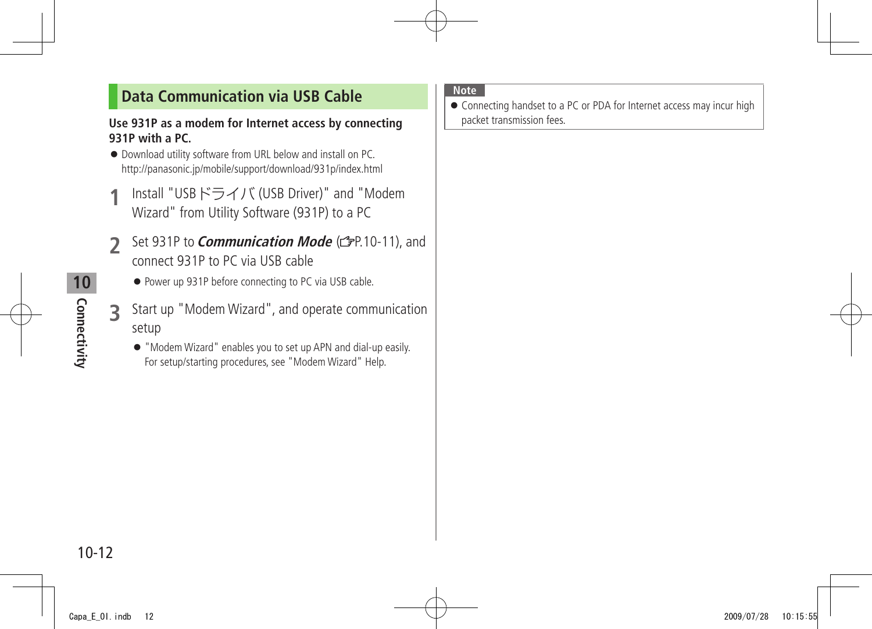#### <span id="page-11-0"></span>**Data Communication via USB Cable**

#### **Use 931P as a modem for Internet access by connecting 931P with a PC.**

- Download utility software from URL below and install on PC. http://panasonic.jp/mobile/support/download/931p/index.html
- **1** Install "USBドライバ (USB Driver)" and "Modem Wizard" from Utility Software (931P) to a PC
- **2** Set 931P to **Communication Mode** (CPP.10-11), and connect 931P to PC via USB cable
	- Power up 931P before connecting to PC via USB cable.
- **3** Start up "Modem Wizard", and operate communication setup
	- "Modem Wizard" enables you to set up APN and dial-up easily. For setup/starting procedures, see "Modem Wizard" Help.

#### **Note**

● Connecting handset to a PC or PDA for Internet access may incur high packet transmission fees.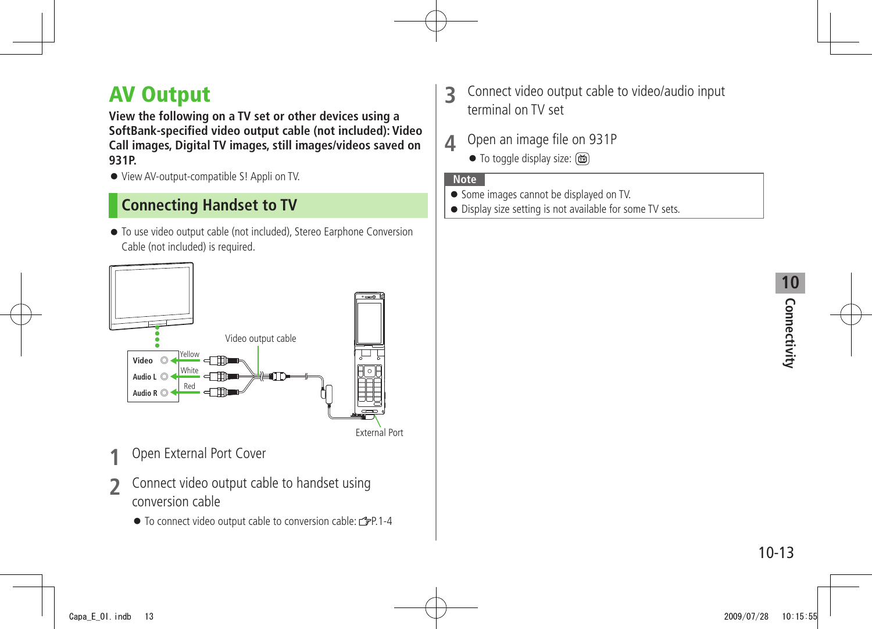# <span id="page-12-0"></span>**AV Output**

**View the following on a TV set or other devices using a SoftBank-specified video output cable (not included): Video Call images, Digital TV images, still images/videos saved on 931P.** 

● View AV-output-compatible S! Appli on TV.

#### **Connecting Handset to TV**

● To use video output cable (not included), Stereo Earphone Conversion Cable (not included) is required.



- **1** Open External Port Cover
- **2** Connect video output cable to handset using conversion cable
	- To connect video output cable to conversion cable:  $\mathcal{F}P.1-4$
- **3** Connect video output cable to video/audio input terminal on TV set
- **4** Open an image file on 931P
	- To toggle display size: (面)

#### **Note**

- Some images cannot be displayed on TV.
- Display size setting is not available for some TV sets.